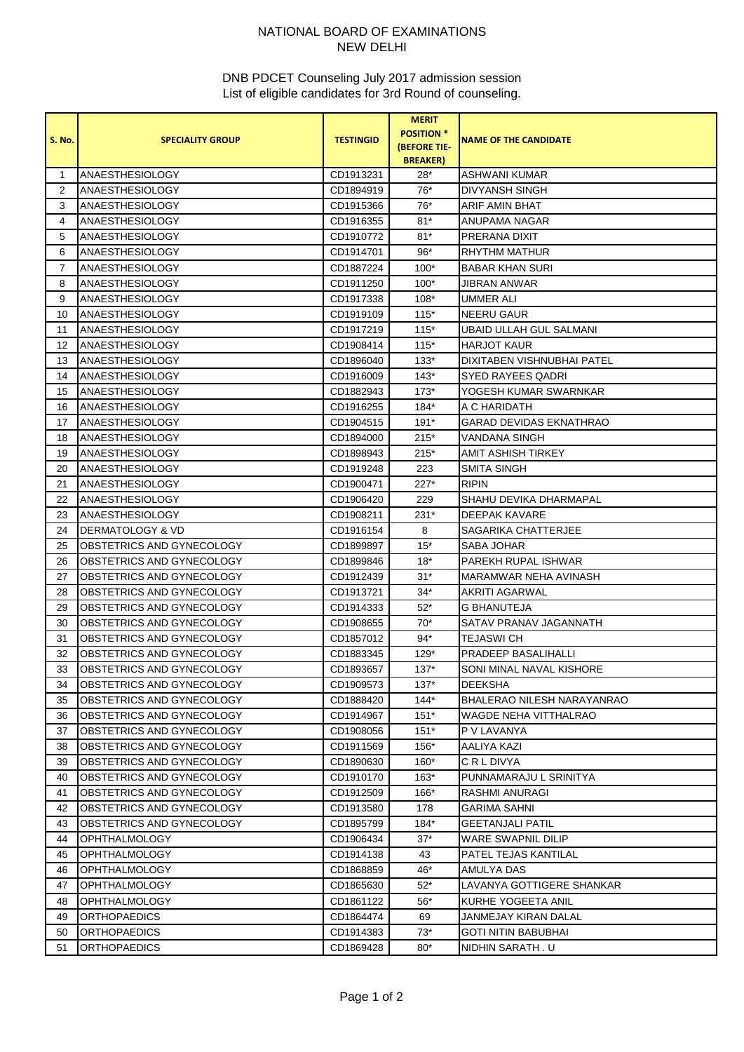## NATIONAL BOARD OF EXAMINATIONS NEW DELHI

## DNB PDCET Counseling July 2017 admission session List of eligible candidates for 3rd Round of counseling.

|                |                                  |                  | <b>MERIT</b>        |                                   |
|----------------|----------------------------------|------------------|---------------------|-----------------------------------|
| <b>S. No.</b>  | <b>SPECIALITY GROUP</b>          | <b>TESTINGID</b> | <b>POSITION *</b>   | <b>NAME OF THE CANDIDATE</b>      |
|                |                                  |                  | <b>(BEFORE TIE-</b> |                                   |
|                |                                  |                  | <b>BREAKER</b> )    |                                   |
| 1              | <b>ANAESTHESIOLOGY</b>           | CD1913231        | $28*$               | ASHWANI KUMAR                     |
| $\overline{2}$ | <b>ANAESTHESIOLOGY</b>           | CD1894919        | $76*$               | <b>DIVYANSH SINGH</b>             |
| 3              | <b>ANAESTHESIOLOGY</b>           | CD1915366        | 76*                 | ARIF AMIN BHAT                    |
| 4              | <b>ANAESTHESIOLOGY</b>           | CD1916355        | $81*$               | ANUPAMA NAGAR                     |
| 5              | <b>ANAESTHESIOLOGY</b>           | CD1910772        | $81*$               | <b>PRERANA DIXIT</b>              |
| 6              | <b>ANAESTHESIOLOGY</b>           | CD1914701        | $96*$               | <b>RHYTHM MATHUR</b>              |
| $\overline{7}$ | <b>ANAESTHESIOLOGY</b>           | CD1887224        | $100*$              | <b>BABAR KHAN SURI</b>            |
| 8              | <b>ANAESTHESIOLOGY</b>           | CD1911250        | $100*$              | JIBRAN ANWAR                      |
| 9              | <b>ANAESTHESIOLOGY</b>           | CD1917338        | $108*$              | <b>UMMER ALI</b>                  |
| 10             | ANAESTHESIOLOGY                  | CD1919109        | $115*$              | NEERU GAUR                        |
| 11             | <b>ANAESTHESIOLOGY</b>           | CD1917219        | $115*$              | UBAID ULLAH GUL SALMANI           |
| 12             | <b>ANAESTHESIOLOGY</b>           | CD1908414        | $115*$              | <b>HARJOT KAUR</b>                |
| 13             | <b>ANAESTHESIOLOGY</b>           | CD1896040        | $133*$              | DIXITABEN VISHNUBHAI PATEL        |
| 14             | ANAESTHESIOLOGY                  | CD1916009        | $143*$              | SYED RAYEES QADRI                 |
| 15             | <b>ANAESTHESIOLOGY</b>           | CD1882943        | $173*$              | YOGESH KUMAR SWARNKAR             |
| 16             | ANAESTHESIOLOGY                  | CD1916255        | $184*$              | A C HARIDATH                      |
| 17             | <b>ANAESTHESIOLOGY</b>           | CD1904515        | $191*$              | <b>GARAD DEVIDAS EKNATHRAO</b>    |
| 18             | <b>ANAESTHESIOLOGY</b>           | CD1894000        | $215*$              | VANDANA SINGH                     |
| 19             | <b>ANAESTHESIOLOGY</b>           | CD1898943        | $215*$              | AMIT ASHISH TIRKEY                |
| 20             | <b>ANAESTHESIOLOGY</b>           | CD1919248        | 223                 | <b>SMITA SINGH</b>                |
| 21             | <b>ANAESTHESIOLOGY</b>           | CD1900471        | 227*                | <b>RIPIN</b>                      |
| 22             | ANAESTHESIOLOGY                  | CD1906420        | 229                 | <b>SHAHU DEVIKA DHARMAPAL</b>     |
| 23             | <b>ANAESTHESIOLOGY</b>           | CD1908211        | $231*$              | DEEPAK KAVARE                     |
| 24             | <b>DERMATOLOGY &amp; VD</b>      | CD1916154        | 8                   | SAGARIKA CHATTERJEE               |
| 25             | OBSTETRICS AND GYNECOLOGY        | CD1899897        | $15*$               | SABA JOHAR                        |
| 26             | OBSTETRICS AND GYNECOLOGY        | CD1899846        | $18*$               | PAREKH RUPAL ISHWAR               |
| 27             | OBSTETRICS AND GYNECOLOGY        | CD1912439        | $31*$               | MARAMWAR NEHA AVINASH             |
| 28             | OBSTETRICS AND GYNECOLOGY        | CD1913721        | $34*$               | AKRITI AGARWAL                    |
| 29             | OBSTETRICS AND GYNECOLOGY        | CD1914333        | $52*$               | <b>G BHANUTEJA</b>                |
| 30             | OBSTETRICS AND GYNECOLOGY        | CD1908655        | 70*                 | SATAV PRANAV JAGANNATH            |
| 31             | OBSTETRICS AND GYNECOLOGY        | CD1857012        | 94*                 | <b>TEJASWI CH</b>                 |
| 32             | OBSTETRICS AND GYNECOLOGY        | CD1883345        | 129*                | PRADEEP BASALIHALLI               |
| 33             | <b>OBSTETRICS AND GYNECOLOGY</b> | CD1893657        | $137*$              | SONI MINAL NAVAL KISHORE          |
| 34             | OBSTETRICS AND GYNECOLOGY        | CD1909573        | $137*$              | <b>DEEKSHA</b>                    |
| 35             | OBSTETRICS AND GYNECOLOGY        | CD1888420        | $144*$              | <b>BHALERAO NILESH NARAYANRAO</b> |
| 36             | OBSTETRICS AND GYNECOLOGY        | CD1914967        | $151*$              | <b>WAGDE NEHA VITTHALRAO</b>      |
| 37             | OBSTETRICS AND GYNECOLOGY        | CD1908056        | $151*$              | P V LAVANYA                       |
| 38             | OBSTETRICS AND GYNECOLOGY        | CD1911569        | 156*                | AALIYA KAZI                       |
| 39             | OBSTETRICS AND GYNECOLOGY        | CD1890630        | $160*$              | C R L DIVYA                       |
| 40             | OBSTETRICS AND GYNECOLOGY        |                  | $163*$              | PUNNAMARAJU L SRINITYA            |
|                | OBSTETRICS AND GYNECOLOGY        | CD1910170        | 166*                | RASHMI ANURAGI                    |
| 41             |                                  | CD1912509        |                     |                                   |
| 42             | OBSTETRICS AND GYNECOLOGY        | CD1913580        | 178                 | <b>GARIMA SAHNI</b>               |
| 43             | OBSTETRICS AND GYNECOLOGY        | CD1895799        | 184*                | <b>GEETANJALI PATIL</b>           |
| 44             | <b>OPHTHALMOLOGY</b>             | CD1906434        | 37*                 | WARE SWAPNIL DILIP                |
| 45             | <b>OPHTHALMOLOGY</b>             | CD1914138        | 43                  | PATEL TEJAS KANTILAL              |
| 46             | <b>OPHTHALMOLOGY</b>             | CD1868859        | 46*                 | AMULYA DAS                        |
| 47             | <b>OPHTHALMOLOGY</b>             | CD1865630        | $52^*$              | LAVANYA GOTTIGERE SHANKAR         |
| 48             | <b>OPHTHALMOLOGY</b>             | CD1861122        | $56*$               | KURHE YOGEETA ANIL                |
| 49             | <b>ORTHOPAEDICS</b>              | CD1864474        | 69                  | JANMEJAY KIRAN DALAL              |
| 50             | <b>ORTHOPAEDICS</b>              | CD1914383        | $73*$               | <b>GOTI NITIN BABUBHAI</b>        |
| 51             | <b>ORTHOPAEDICS</b>              | CD1869428        | $80*$               | NIDHIN SARATH . U                 |